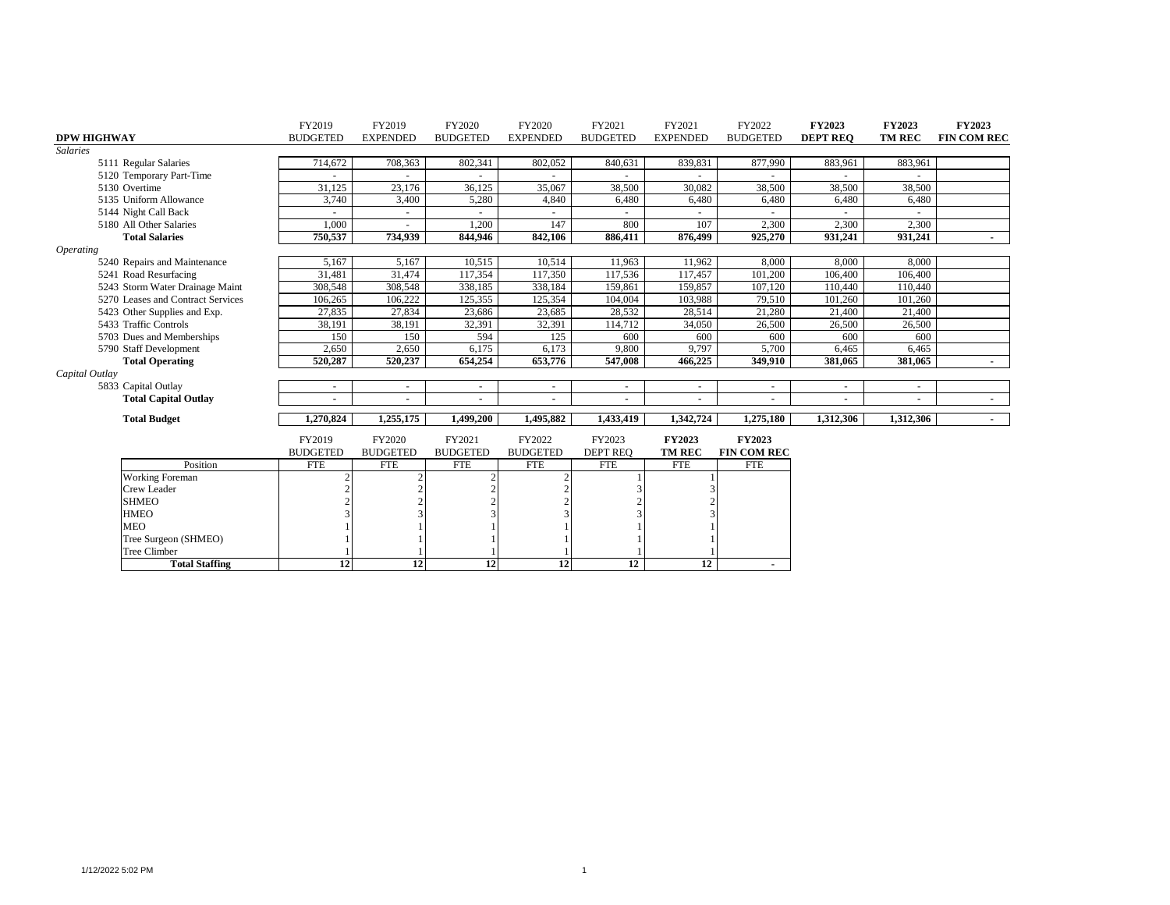|                                   | FY2019                   | FY2019          | FY2020          | FY2020          | FY2021          | FY2021          | FY2022                   | <b>FY2023</b>   | <b>FY2023</b> | <b>FY2023</b>      |
|-----------------------------------|--------------------------|-----------------|-----------------|-----------------|-----------------|-----------------|--------------------------|-----------------|---------------|--------------------|
| <b>DPW HIGHWAY</b>                | <b>BUDGETED</b>          | <b>EXPENDED</b> | <b>BUDGETED</b> | <b>EXPENDED</b> | <b>BUDGETED</b> | <b>EXPENDED</b> | <b>BUDGETED</b>          | <b>DEPT REO</b> | <b>TM REC</b> | <b>FIN COM REC</b> |
| <b>Salaries</b>                   |                          |                 |                 |                 |                 |                 |                          |                 |               |                    |
| 5111 Regular Salaries             | 714,672                  | 708,363         | 802,341         | 802,052         | 840,631         | 839,831         | 877,990                  | 883,961         | 883,961       |                    |
| 5120 Temporary Part-Time          |                          |                 |                 |                 |                 |                 |                          |                 |               |                    |
| 5130 Overtime                     | 31,125                   | 23,176          | 36,125          | 35,067          | 38,500          | 30,082          | 38,500                   | 38,500          | 38,500        |                    |
| 5135 Uniform Allowance            | 3,740                    | 3,400           | 5,280           | 4,840           | 6,480           | 6,480           | 6,480                    | 6,480           | 6,480         |                    |
| 5144 Night Call Back              |                          |                 |                 |                 |                 |                 |                          |                 |               |                    |
| 5180 All Other Salaries           | 1,000                    |                 | 1,200           | 147             | 800             | 107             | 2,300                    | 2,300           | 2,300         |                    |
| <b>Total Salaries</b>             | 750,537                  | 734.939         | 844,946         | 842,106         | 886,411         | 876,499         | 925,270                  | 931.241         | 931,241       | $\sim$             |
| <i><b>Operating</b></i>           |                          |                 |                 |                 |                 |                 |                          |                 |               |                    |
| 5240 Repairs and Maintenance      | 5,167                    | 5,167           | 10,515          | 10,514          | 11,963          | 11,962          | 8,000                    | 8,000           | 8,000         |                    |
| 5241 Road Resurfacing             | 31,481                   | 31.474          | 117,354         | 117,350         | 117,536         | 117,457         | 101.200                  | 106,400         | 106,400       |                    |
| 5243 Storm Water Drainage Maint   | 308,548                  | 308,548         | 338,185         | 338,184         | 159,861         | 159,857         | 107.120                  | 110,440         | 110,440       |                    |
| 5270 Leases and Contract Services | 106,265                  | 106,222         | 125,355         | 125,354         | 104,004         | 103,988         | 79,510                   | 101.260         | 101,260       |                    |
| 5423 Other Supplies and Exp.      | 27,835                   | 27,834          | 23,686          | 23,685          | 28,532          | 28,514          | 21,280                   | 21,400          | 21,400        |                    |
| 5433 Traffic Controls             | 38,191                   | 38,191          | 32,391          | 32,391          | 114,712         | 34,050          | 26,500                   | 26,500          | 26,500        |                    |
| 5703 Dues and Memberships         | 150                      | 150             | 594             | 125             | 600             | 600             | 600                      | 600             | 600           |                    |
| 5790 Staff Development            | 2,650                    | 2,650           | 6,175           | 6,173           | 9,800           | 9,797           | 5,700                    | 6,465           | 6,465         |                    |
| <b>Total Operating</b>            | 520,287                  | 520,237         | 654,254         | 653,776         | 547,008         | 466,225         | 349,910                  | 381.065         | 381.065       | $\sim$             |
| Capital Outlay                    |                          |                 |                 |                 |                 |                 |                          |                 |               |                    |
| 5833 Capital Outlay               | $\sim$                   | $\sim$          |                 | $\sim$          |                 |                 | $\overline{\phantom{a}}$ |                 |               |                    |
| <b>Total Capital Outlay</b>       | $\overline{\phantom{a}}$ |                 |                 |                 |                 |                 |                          |                 |               | $\sim$             |
|                                   |                          |                 |                 |                 |                 |                 |                          |                 |               |                    |
| <b>Total Budget</b>               | 1,270,824                | 1,255,175       | 1,499,200       | 1,495,882       | 1,433,419       | 1,342,724       | 1,275,180                | 1,312,306       | 1,312,306     | $\sim$             |
|                                   | FY2019                   | FY2020          | FY2021          | FY2022          | FY2023          | <b>FY2023</b>   | <b>FY2023</b>            |                 |               |                    |
|                                   | <b>BUDGETED</b>          | <b>BUDGETED</b> | <b>BUDGETED</b> | <b>BUDGETED</b> | <b>DEPT REO</b> | <b>TM REC</b>   | <b>FIN COM REC</b>       |                 |               |                    |
| Position                          | <b>FTE</b>               | <b>FTE</b>      | <b>FTE</b>      | <b>FTE</b>      | <b>FTE</b>      | <b>FTE</b>      | <b>FTE</b>               |                 |               |                    |
| <b>Working Foreman</b>            |                          |                 |                 |                 |                 |                 |                          |                 |               |                    |
| <b>Crew Leader</b>                |                          |                 |                 |                 |                 |                 |                          |                 |               |                    |
| <b>SHMEO</b>                      |                          |                 |                 |                 |                 |                 |                          |                 |               |                    |
| <b>HMEO</b>                       |                          |                 |                 |                 |                 |                 |                          |                 |               |                    |
| <b>MEO</b>                        |                          |                 |                 |                 |                 |                 |                          |                 |               |                    |
| Tree Surgeon (SHMEO)              |                          |                 |                 |                 |                 |                 |                          |                 |               |                    |
| <b>Tree Climber</b>               |                          |                 |                 |                 |                 |                 |                          |                 |               |                    |
| <b>Total Staffing</b>             | 12                       | 12              | 12              | 12              | $\overline{12}$ | 12              |                          |                 |               |                    |
|                                   |                          |                 |                 |                 |                 |                 |                          |                 |               |                    |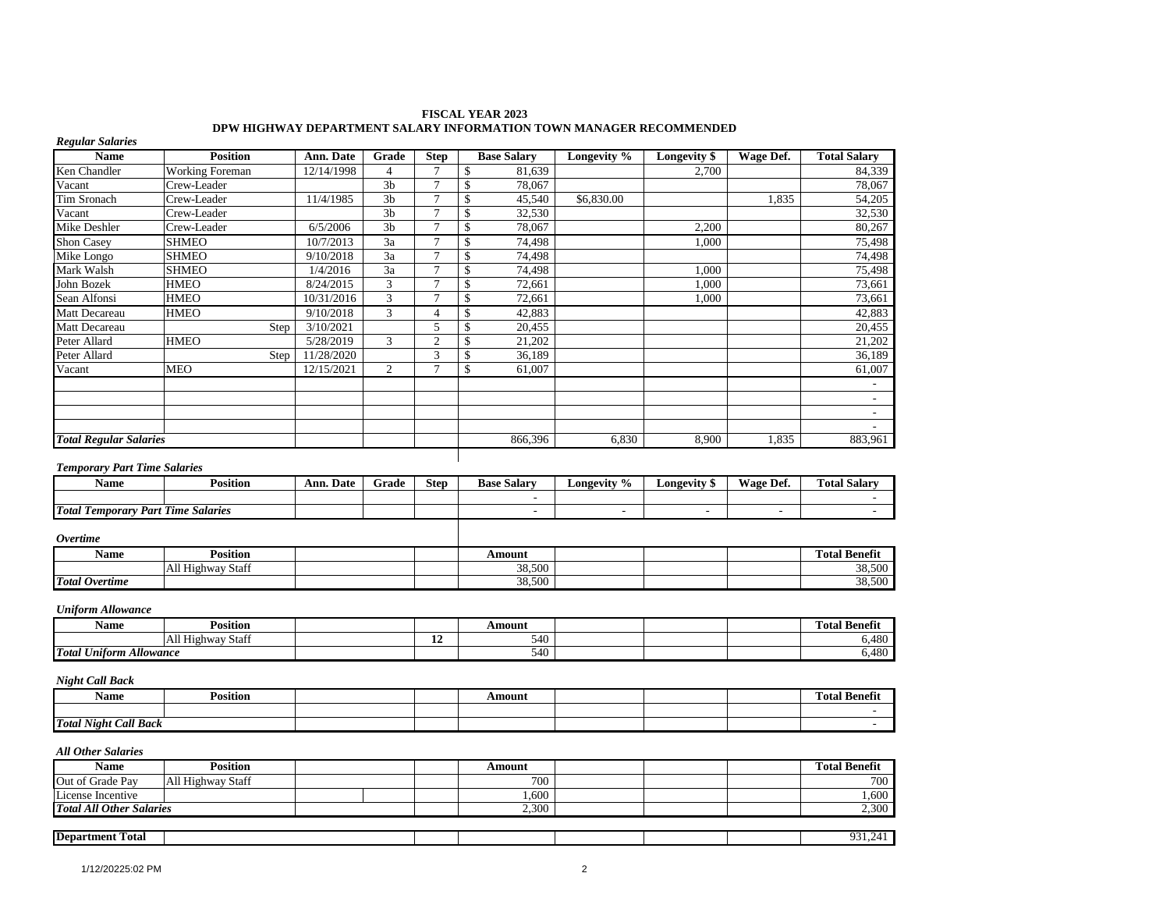| <b>Name</b>                               | <b>Position</b>        | Ann. Date  | Grade           | <b>Step</b>     | <b>Base Salary</b>       | Longevity %              | Longevity \$             | Wage Def.      | <b>Total Salary</b>                                            |
|-------------------------------------------|------------------------|------------|-----------------|-----------------|--------------------------|--------------------------|--------------------------|----------------|----------------------------------------------------------------|
| Ken Chandler                              | <b>Working Foreman</b> | 12/14/1998 | $\overline{4}$  | $\overline{7}$  | 81,639<br>\$             |                          | 2,700                    |                | 84,339                                                         |
| Vacant                                    | Crew-Leader            |            | 3 <sub>b</sub>  | $\overline{7}$  | \$<br>78,067             |                          |                          |                | 78,067                                                         |
| Tim Sronach                               | Crew-Leader            | 11/4/1985  | 3 <sub>b</sub>  | $\overline{7}$  | \$<br>45,540             | \$6,830.00               |                          | 1,835          | 54,205                                                         |
| Vacant                                    | Crew-Leader            |            | 3 <sub>b</sub>  | $7\phantom{.0}$ | \$<br>32,530             |                          |                          |                | 32,530                                                         |
| Mike Deshler                              | Crew-Leader            | 6/5/2006   | 3 <sub>b</sub>  | $\overline{7}$  | \$<br>78,067             |                          | 2,200                    |                | 80,267                                                         |
| <b>Shon Casey</b>                         | <b>SHMEO</b>           | 10/7/2013  | 3a              | $\overline{7}$  | \$<br>74,498             |                          | 1,000                    |                | 75,498                                                         |
| Mike Longo                                | <b>SHMEO</b>           | 9/10/2018  | $\overline{3a}$ | $\overline{7}$  | \$<br>74,498             |                          |                          |                | 74,498                                                         |
| Mark Walsh                                | <b>SHMEO</b>           | 1/4/2016   | 3a              | $\overline{7}$  | \$<br>74,498             |                          | 1,000                    |                | 75,498                                                         |
| John Bozek                                | <b>HMEO</b>            | 8/24/2015  | 3               | $\overline{7}$  | \$<br>72,661             |                          | 1,000                    |                | 73,661                                                         |
| Sean Alfonsi                              | <b>HMEO</b>            | 10/31/2016 | 3               | $\overline{7}$  | \$<br>72,661             |                          | 1,000                    |                | 73,661                                                         |
| Matt Decareau                             | <b>HMEO</b>            | 9/10/2018  | 3               | $\overline{4}$  | \$<br>42,883             |                          |                          |                | 42,883                                                         |
| Matt Decareau                             | Step                   | 3/10/2021  |                 | $\sqrt{5}$      | \$<br>20,455             |                          |                          |                | 20,455                                                         |
| Peter Allard                              | <b>HMEO</b>            | 5/28/2019  | 3               | $\sqrt{2}$      | \$<br>21,202             |                          |                          |                | 21,202                                                         |
| Peter Allard                              | Step                   | 11/28/2020 |                 | 3               | 36,189<br>\$             |                          |                          |                | 36,189                                                         |
| Vacant                                    | <b>MEO</b>             | 12/15/2021 | $\overline{c}$  | $\overline{7}$  | \$<br>61,007             |                          |                          |                | 61,007                                                         |
|                                           |                        |            |                 |                 |                          |                          |                          |                | $\sim$                                                         |
|                                           |                        |            |                 |                 |                          |                          |                          |                | $\overline{\phantom{a}}$                                       |
|                                           |                        |            |                 |                 |                          |                          |                          |                | $\sim$                                                         |
|                                           |                        |            |                 |                 |                          |                          |                          |                |                                                                |
|                                           |                        |            |                 |                 |                          |                          |                          |                |                                                                |
| <b>Total Regular Salaries</b>             |                        |            |                 |                 | 866,396                  | 6,830                    | 8,900                    | 1,835          | 883,961                                                        |
| <b>Temporary Part Time Salaries</b>       |                        |            |                 |                 |                          |                          |                          |                |                                                                |
| Name                                      | <b>Position</b>        | Ann. Date  | Grade           | <b>Step</b>     | <b>Base Salary</b>       | Longevity %              | Longevity \$             | Wage Def.      | <b>Total Salary</b>                                            |
|                                           |                        |            |                 |                 | $\sim$                   |                          |                          |                | $\sim$                                                         |
| <b>Total Temporary Part Time Salaries</b> |                        |            |                 |                 | $\overline{\phantom{a}}$ | $\overline{\phantom{a}}$ | $\overline{\phantom{a}}$ | $\overline{a}$ |                                                                |
|                                           |                        |            |                 |                 |                          |                          |                          |                |                                                                |
| <b>Overtime</b>                           |                        |            |                 |                 |                          |                          |                          |                |                                                                |
| <b>Name</b>                               | <b>Position</b>        |            |                 |                 | <b>Amount</b>            |                          |                          |                | <b>Total Benefit</b>                                           |
|                                           | All Highway Staff      |            |                 |                 | 38,500                   |                          |                          |                |                                                                |
| <b>Total Overtime</b>                     |                        |            |                 |                 | 38,500                   |                          |                          |                |                                                                |
| <b>Uniform Allowance</b>                  |                        |            |                 |                 |                          |                          |                          |                |                                                                |
| <b>Name</b>                               |                        |            |                 |                 |                          |                          |                          |                |                                                                |
|                                           | <b>Position</b>        |            |                 |                 | Amount                   |                          |                          |                | <b>Total Benefit</b>                                           |
|                                           | All Highway Staff      |            |                 | 12              | 540<br>540               |                          |                          |                |                                                                |
| <b>Total Uniform Allowance</b>            |                        |            |                 |                 |                          |                          |                          |                |                                                                |
| <b>Night Call Back</b>                    |                        |            |                 |                 |                          |                          |                          |                |                                                                |
| Name                                      | <b>Position</b>        |            |                 |                 | Amount                   |                          |                          |                | <b>Total Benefit</b>                                           |
| <b>Total Night Call Back</b>              |                        |            |                 |                 |                          |                          |                          |                | 38,500<br>38,500<br>6,480<br>6,480<br>$\overline{\phantom{a}}$ |

#### **FISCAL YEAR 2023 DPW HIGHWAY DEPARTMENT SALARY INFORMATION TOWN MANAGER RECOMMENDED**

# Name **Position Result in the Second Line of Amount Amount Total Benefit** Out of Grade Pay All Highway Staff 700<br>
License Incentive 1,600 1,600 License Incentive 1,600 1,600 **Total All Other Salaries** 2,300 2,300 2,300 2,300 2,300 2,300 2,300 2,300 2,300 2,300 2,300 2,300 2,300 2,300 2,300 2,300 2,300 2,300 2,300 2,300 2,300 2,300 2,300 2,300 2,300 2,300 2,300 2,300 2,300 2,300 2,300 2,300 2,3 **Department Total** 1 931,241

┨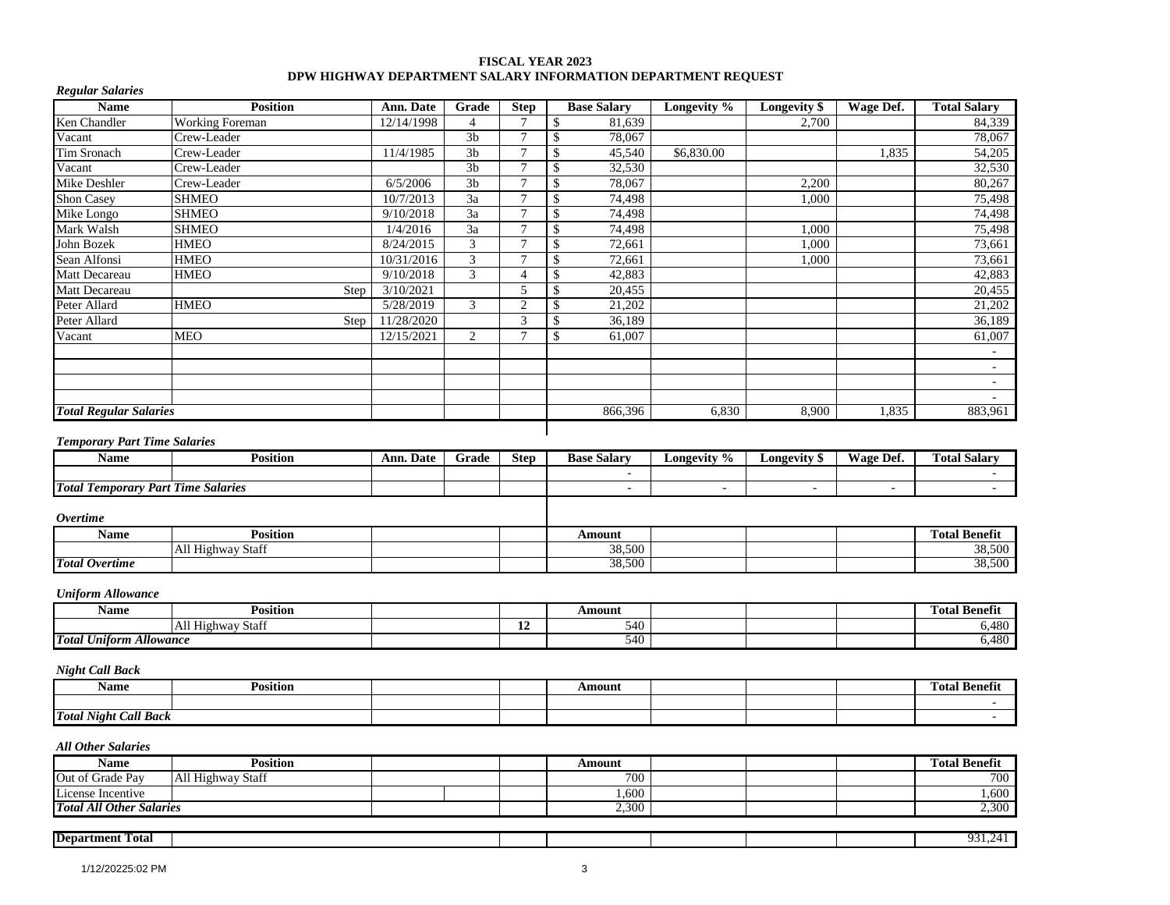### **FISCAL YEAR 2023 DPW HIGHWAY DEPARTMENT SALARY INFORMATION DEPARTMENT REQUEST**

| <b>Regular Salaries</b>                   |                        |            |                |                 |                          |             |                |                          |                      |
|-------------------------------------------|------------------------|------------|----------------|-----------------|--------------------------|-------------|----------------|--------------------------|----------------------|
| <b>Name</b>                               | <b>Position</b>        | Ann. Date  | Grade          | <b>Step</b>     | <b>Base Salary</b>       | Longevity % | Longevity \$   | Wage Def.                | <b>Total Salary</b>  |
| Ken Chandler                              | <b>Working Foreman</b> | 12/14/1998 | $\overline{4}$ | $\tau$          | 81,639<br>\$             |             | 2,700          |                          | 84,339               |
| Vacant                                    | Crew-Leader            |            | 3 <sub>b</sub> | $\overline{7}$  | 78,067<br>\$             |             |                |                          | 78,067               |
| Tim Sronach                               | Crew-Leader            | 11/4/1985  | 3 <sub>b</sub> | $\tau$          | \$<br>45,540             | \$6,830.00  |                | 1,835                    | 54,205               |
| Vacant                                    | Crew-Leader            |            | 3 <sub>b</sub> | 7               | 32,530<br>\$             |             |                |                          | 32,530               |
| Mike Deshler                              | Crew-Leader            | 6/5/2006   | 3 <sub>b</sub> | $\overline{7}$  | \$<br>78,067             |             | 2,200          |                          | 80,267               |
| Shon Casey                                | <b>SHMEO</b>           | 10/7/2013  | 3a             | $\tau$          | \$<br>74,498             |             | 1,000          |                          | 75,498               |
| Mike Longo                                | <b>SHMEO</b>           | 9/10/2018  | 3a             | $\overline{7}$  | \$<br>74.498             |             |                |                          | 74,498               |
| Mark Walsh                                | <b>SHMEO</b>           | 1/4/2016   | 3a             | $7\phantom{.0}$ | \$<br>74,498             |             | 1,000          |                          | 75,498               |
| John Bozek                                | <b>HMEO</b>            | 8/24/2015  | 3              | $\tau$          | \$<br>72,661             |             | 1,000          |                          | 73,661               |
| Sean Alfonsi                              | <b>HMEO</b>            | 10/31/2016 | 3              | 7               | \$<br>72,661             |             | 1,000          |                          | 73,661               |
| Matt Decareau                             | <b>HMEO</b>            | 9/10/2018  | 3              | $\overline{4}$  | 42,883<br>\$             |             |                |                          | 42,883               |
| Matt Decareau                             | Step                   | 3/10/2021  |                | $\mathfrak s$   | 20,455<br>\$             |             |                |                          | 20,455               |
| Peter Allard                              | <b>HMEO</b>            | 5/28/2019  | 3              | $\overline{2}$  | 21,202<br>\$             |             |                |                          | 21,202               |
| Peter Allard                              | Step                   | 11/28/2020 |                | 3               | 36,189<br>\$             |             |                |                          | 36,189               |
| Vacant                                    | <b>MEO</b>             | 12/15/2021 | $\overline{2}$ | $\tau$          | 61,007<br>\$             |             |                |                          | 61,007               |
|                                           |                        |            |                |                 |                          |             |                |                          | $\omega$             |
|                                           |                        |            |                |                 |                          |             |                |                          | $\mathbf{r}$         |
|                                           |                        |            |                |                 |                          |             |                |                          | $\mathbf{r}$         |
|                                           |                        |            |                |                 |                          |             |                |                          | $\mathbf{r}$         |
| <b>Total Regular Salaries</b>             |                        |            |                |                 | 866,396                  | 6,830       | 8,900          | 1,835                    | 883,961              |
| <b>Temporary Part Time Salaries</b>       |                        |            |                |                 |                          |             |                |                          |                      |
| <b>Name</b>                               | <b>Position</b>        | Ann. Date  | Grade          | <b>Step</b>     | <b>Base Salary</b>       | Longevity % | Longevity \$   | Wage Def.                | <b>Total Salary</b>  |
|                                           |                        |            |                |                 | $\sim$                   |             |                |                          |                      |
| <b>Total Temporary Part Time Salaries</b> |                        |            |                |                 | $\overline{\phantom{a}}$ | $\omega$    | $\blacksquare$ | $\overline{\phantom{a}}$ |                      |
|                                           |                        |            |                |                 |                          |             |                |                          |                      |
| <b>Overtime</b>                           |                        |            |                |                 |                          |             |                |                          |                      |
| <b>Name</b>                               | <b>Position</b>        |            |                |                 | Amount                   |             |                |                          | <b>Total Benefit</b> |
|                                           | All Highway Staff      |            |                |                 | 38,500                   |             |                |                          | 38,500               |
| <b>Total Overtime</b>                     |                        |            |                |                 | 38,500                   |             |                |                          | 38,500               |
|                                           |                        |            |                |                 |                          |             |                |                          |                      |
| <b>Uniform Allowance</b>                  |                        |            |                |                 |                          |             |                |                          |                      |
| <b>Name</b>                               | <b>Position</b>        |            |                |                 | Amount                   |             |                |                          | <b>Total Benefit</b> |
|                                           | All Highway Staff      |            |                | 12              | 540                      |             |                |                          | 6,480                |
| <b>Total Uniform Allowance</b>            |                        |            |                |                 | 540                      |             |                |                          | 6,480                |
| <b>Night Call Back</b>                    |                        |            |                |                 |                          |             |                |                          |                      |
| <b>Name</b>                               | <b>Position</b>        |            |                |                 | Amount                   |             |                |                          | <b>Total Benefit</b> |
|                                           |                        |            |                |                 |                          |             |                |                          |                      |
| <b>Total Night Call Back</b>              |                        |            |                |                 |                          |             |                |                          | $\sim$               |
| <b>All Other Salaries</b>                 |                        |            |                |                 |                          |             |                |                          |                      |
| <b>Name</b>                               | <b>Position</b>        |            |                |                 | <b>Amount</b>            |             |                |                          | <b>Total Benefit</b> |
| Out of Grade Pay                          | All Highway Staff      |            |                |                 | 700                      |             |                |                          | 700                  |
| License Incentive                         |                        |            |                |                 | 1,600                    |             |                |                          | 1,600                |
| <b>Total All Other Salaries</b>           |                        |            |                |                 | 2,300                    |             |                |                          | 2,300                |
|                                           |                        |            |                |                 |                          |             |                |                          |                      |
| <b>Department Total</b>                   |                        |            |                |                 |                          |             |                |                          | 931,241              |
|                                           |                        |            |                |                 |                          |             |                |                          |                      |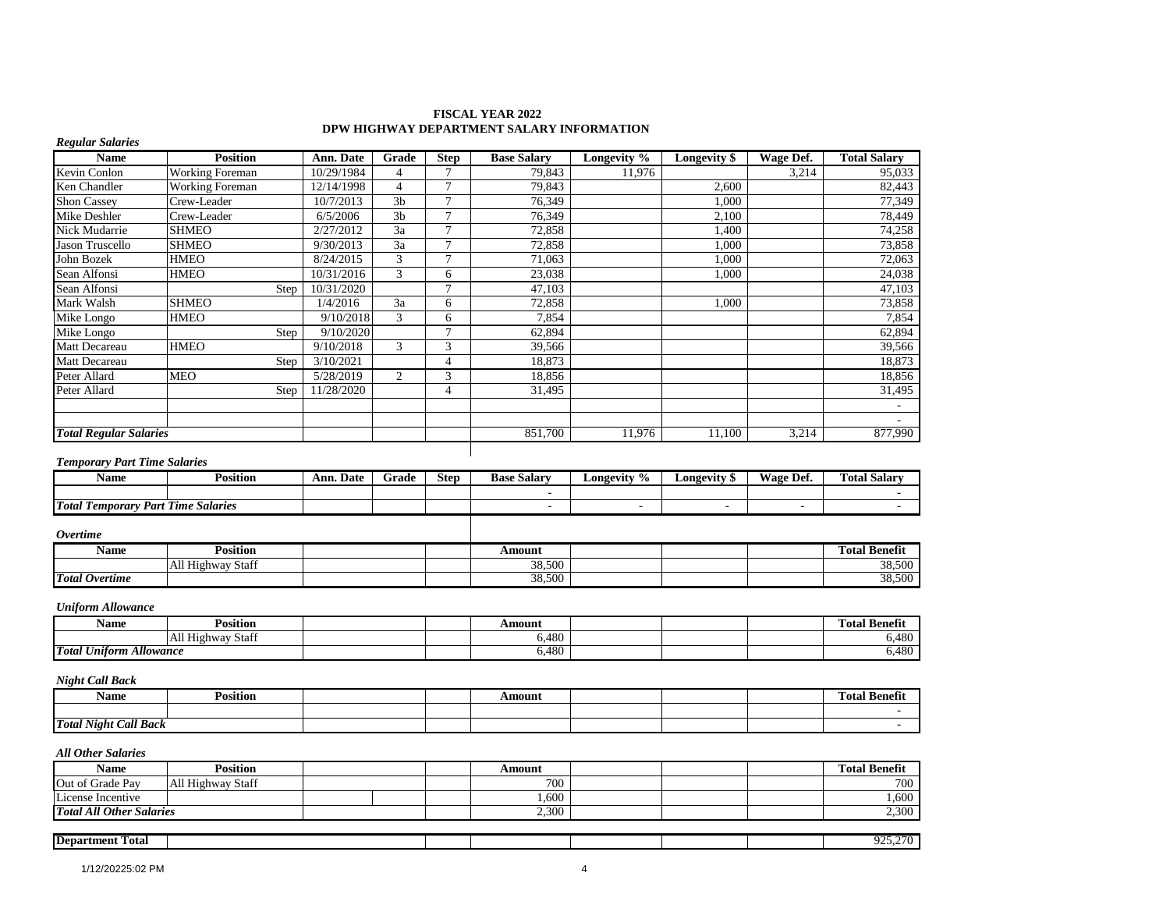| <b>Regular Salaries</b><br><b>Name</b>             | <b>Position</b>        | Ann. Date  | Grade          | <b>Step</b>    | <b>Base Salary</b>       | Longevity %    | <b>Longevity \$</b>      | Wage Def.                | <b>Total Salary</b>  |
|----------------------------------------------------|------------------------|------------|----------------|----------------|--------------------------|----------------|--------------------------|--------------------------|----------------------|
| Kevin Conlon                                       | <b>Working Foreman</b> | 10/29/1984 | $\overline{4}$ | $\tau$         | 79,843                   | 11,976         |                          | 3,214                    | 95,033               |
| Ken Chandler                                       | <b>Working Foreman</b> | 12/14/1998 | $\overline{4}$ | $\tau$         | 79,843                   |                | 2,600                    |                          | 82,443               |
| <b>Shon Cassey</b>                                 | Crew-Leader            | 10/7/2013  | 3 <sub>b</sub> | $\overline{7}$ | 76,349                   |                | 1,000                    |                          | 77,349               |
| Mike Deshler                                       | Crew-Leader            | 6/5/2006   | 3 <sub>b</sub> | $\overline{7}$ | 76,349                   |                | 2,100                    |                          | 78,449               |
| Nick Mudarrie                                      | <b>SHMEO</b>           | 2/27/2012  | $3a$           | $\tau$         | 72,858                   |                | 1,400                    |                          | 74,258               |
| Jason Truscello                                    | <b>SHMEO</b>           | 9/30/2013  | 3a             | $\overline{7}$ | 72,858                   |                | 1.000                    |                          | 73,858               |
| John Bozek                                         | <b>HMEO</b>            | 8/24/2015  | $\mathfrak{Z}$ | $\tau$         | 71,063                   |                | 1,000                    |                          | 72,063               |
| Sean Alfonsi                                       | <b>HMEO</b>            | 10/31/2016 | 3              | 6              | 23,038                   |                | 1,000                    |                          | 24,038               |
| Sean Alfonsi                                       | Step                   | 10/31/2020 |                | $\overline{7}$ | 47,103                   |                |                          |                          | 47,103               |
| Mark Walsh                                         | <b>SHMEO</b>           | 1/4/2016   | 3a             | 6              | 72,858                   |                | 1,000                    |                          | 73,858               |
| Mike Longo                                         | <b>HMEO</b>            | 9/10/2018  | 3              | 6              | 7,854                    |                |                          |                          | 7,854                |
| Mike Longo                                         | Step                   | 9/10/2020  |                | $\tau$         | 62,894                   |                |                          |                          | 62,894               |
| Matt Decareau                                      | <b>HMEO</b>            | 9/10/2018  | 3              | 3              | 39,566                   |                |                          |                          | 39,566               |
| Matt Decareau                                      | Step                   | 3/10/2021  |                | $\overline{4}$ | 18,873                   |                |                          |                          | 18,873               |
| Peter Allard                                       | <b>MEO</b>             | 5/28/2019  | $\overline{c}$ | 3              | 18,856                   |                |                          |                          | 18,856               |
| Peter Allard                                       | Step                   | 11/28/2020 |                | $\overline{4}$ | 31,495                   |                |                          |                          | 31,495               |
|                                                    |                        |            |                |                |                          |                |                          |                          | $\sim$               |
| <b>Total Regular Salaries</b>                      |                        |            |                |                | 851,700                  | 11,976         | 11,100                   | 3,214                    | 877,990              |
|                                                    |                        |            |                |                |                          |                |                          |                          |                      |
| <b>Temporary Part Time Salaries</b><br><b>Name</b> | <b>Position</b>        | Ann. Date  | Grade          | <b>Step</b>    | <b>Base Salary</b>       | Longevity %    | <b>Longevity</b> \$      | <b>Wage Def.</b>         | <b>Total Salary</b>  |
|                                                    |                        |            |                |                |                          |                |                          |                          |                      |
| <b>Total Temporary Part Time Salaries</b>          |                        |            |                |                | $\overline{\phantom{a}}$ | $\blacksquare$ | $\overline{\phantom{a}}$ | $\overline{\phantom{a}}$ |                      |
| <b>Overtime</b>                                    |                        |            |                |                |                          |                |                          |                          |                      |
| <b>Name</b>                                        | <b>Position</b>        |            |                |                | Amount                   |                |                          |                          | <b>Total Benefit</b> |
|                                                    | All Highway Staff      |            |                |                | 38,500                   |                |                          |                          | 38,500               |
| <b>Total Overtime</b>                              |                        |            |                |                | 38,500                   |                |                          |                          | 38,500               |
| <b>Uniform Allowance</b>                           |                        |            |                |                |                          |                |                          |                          |                      |
| <b>Name</b>                                        | <b>Position</b>        |            |                |                | Amount                   |                |                          |                          | <b>Total Benefit</b> |
|                                                    | All Highway Staff      |            |                |                | 6,480                    |                |                          |                          | 6,480                |
| <b>Total Uniform Allowance</b>                     |                        |            |                |                | 6,480                    |                |                          |                          | 6,480                |
| <b>Night Call Back</b>                             |                        |            |                |                |                          |                |                          |                          |                      |
| <b>Name</b>                                        | <b>Position</b>        |            |                |                | Amount                   |                |                          |                          | <b>Total Benefit</b> |
|                                                    |                        |            |                |                |                          |                |                          |                          |                      |
| <b>Total Night Call Back</b>                       |                        |            |                |                |                          |                |                          |                          |                      |
| <b>All Other Salaries</b>                          |                        |            |                |                |                          |                |                          |                          |                      |
| <b>Name</b>                                        | <b>Position</b>        |            |                |                | Amount                   |                |                          |                          | <b>Total Benefit</b> |
| Out of Grade Pay                                   | All Highway Staff      |            |                |                | 700                      |                |                          |                          | 700                  |

### **FISCAL YEAR 2022 DPW HIGHWAY DEPARTMENT SALARY INFORMATION**

| <b>Total All Other Salaries</b> |  | 200<br>-41<br>$\sim\!\!\sim\!$ |  | 2.300             |
|---------------------------------|--|--------------------------------|--|-------------------|
|                                 |  |                                |  |                   |
| <b>Department</b> '<br>Total    |  |                                |  | ስሳድ ሰማሰ<br>,,,,,, |
|                                 |  |                                |  |                   |

License Incentive  $\begin{vmatrix} 1 & 0 & 1 \\ 0 & 1 & 1 \end{vmatrix}$  and  $\begin{vmatrix} 1,600 & 1 \\ 0 & 1,600 \end{vmatrix}$  and  $\begin{vmatrix} 1,600 & 1 \\ 0,600 & 1 \end{vmatrix}$  and  $\begin{vmatrix} 1,600 & 1 \\ 0,600 & 1 \end{vmatrix}$  and  $\begin{vmatrix} 1,600 & 1 \\ 0,600 & 1 \end{vmatrix}$  and  $\begin{vmatrix} 1,600 &$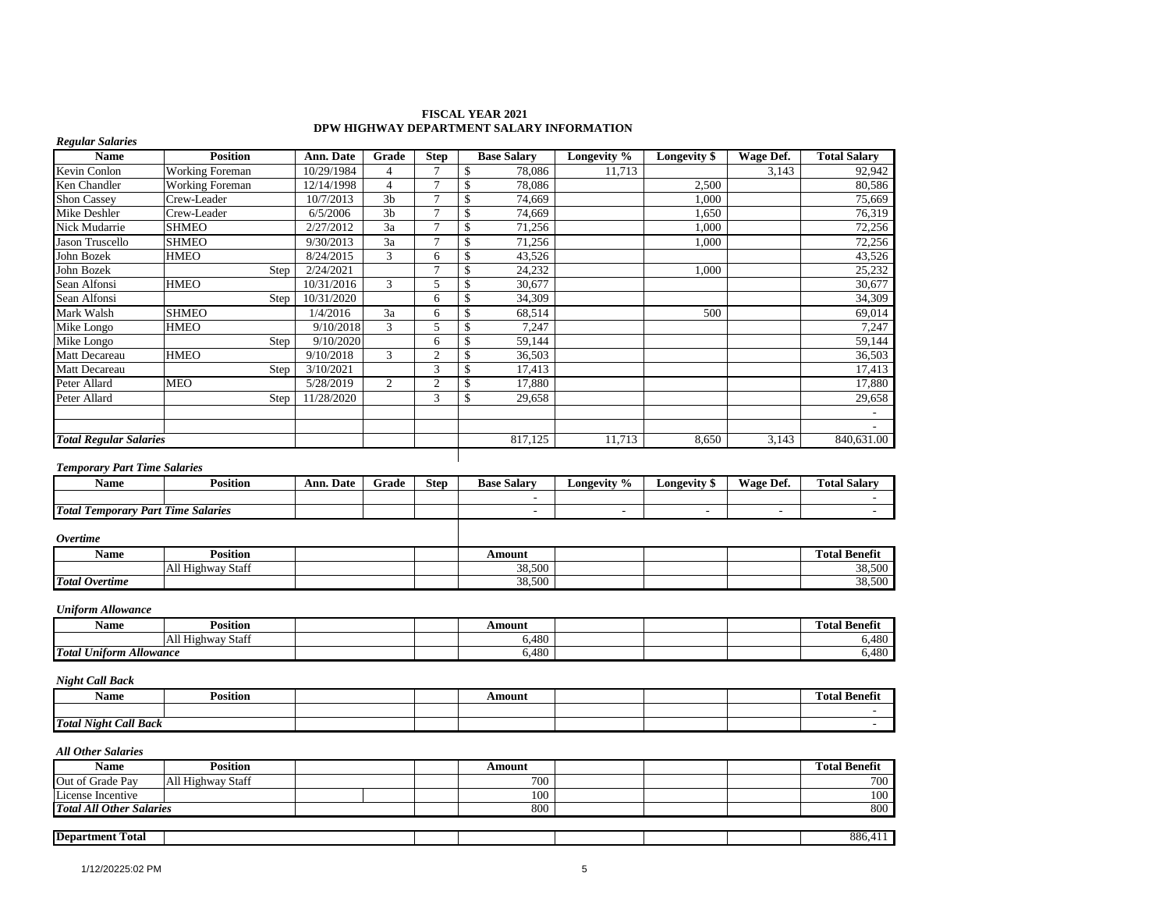| <b>FISCAL YEAR 2021</b>                   |  |
|-------------------------------------------|--|
| DPW HIGHWAY DEPARTMENT SALARY INFORMATION |  |

| <b>Name</b>                         | <b>Position</b>        | Ann. Date  | Grade          | <b>Step</b>    | <b>Base Salary</b> | Longevity % | Longevity \$        | Wage Def. | <b>Total Salary</b> |
|-------------------------------------|------------------------|------------|----------------|----------------|--------------------|-------------|---------------------|-----------|---------------------|
| Kevin Conlon                        | <b>Working Foreman</b> | 10/29/1984 | 4              | $\overline{7}$ | 78,086<br>\$       | 11,713      |                     | 3,143     | 92,942              |
| Ken Chandler                        | <b>Working Foreman</b> | 12/14/1998 | 4              | $\tau$         | 78,086<br>\$       |             | 2,500               |           | 80,586              |
| <b>Shon Cassey</b>                  | Crew-Leader            | 10/7/2013  | 3 <sub>b</sub> | $\overline{7}$ | \$<br>74.669       |             | 1.000               |           | 75,669              |
| Mike Deshler                        | Crew-Leader            | 6/5/2006   | 3 <sub>b</sub> | $\overline{7}$ | 74,669<br>\$       |             | 1,650               |           | 76,319              |
| Nick Mudarrie                       | <b>SHMEO</b>           | 2/27/2012  | 3a             | $\overline{7}$ | 71,256<br>\$       |             | 1,000               |           | 72,256              |
| Jason Truscello                     | <b>SHMEO</b>           | 9/30/2013  | 3a             | $\mathbf{r}$   | \$<br>71,256       |             | 1,000               |           | 72,256              |
| John Bozek                          | <b>HMEO</b>            | 8/24/2015  | 3              | 6              | 43,526             |             |                     |           | 43,526              |
| John Bozek                          | Step                   | 2/24/2021  |                | $\mathbf{r}$   | 24,232<br>\$       |             | 1,000               |           | 25,232              |
| Sean Alfonsi                        | <b>HMEO</b>            | 10/31/2016 | 3              | 5              | 30,677<br>ŗ.       |             |                     |           | 30,677              |
| Sean Alfonsi                        | Step                   | 10/31/2020 |                | 6              | \$<br>34,309       |             |                     |           | 34,309              |
| Mark Walsh                          | <b>SHMEO</b>           | 1/4/2016   | 3a             | 6              | 68,514<br>S        |             | 500                 |           | 69,014              |
| Mike Longo                          | <b>HMEO</b>            | 9/10/2018  | 3              | 5              | 7,247<br>\$        |             |                     |           | 7,247               |
| Mike Longo                          | Step                   | 9/10/2020  |                | 6              | 59,144<br>\$       |             |                     |           | 59,144              |
| <b>Matt Decareau</b>                | <b>HMEO</b>            | 9/10/2018  | $\mathfrak{Z}$ | $\overline{c}$ | \$.<br>36,503      |             |                     |           | 36,503              |
| Matt Decareau                       | Step                   | 3/10/2021  |                | 3              | 17,413             |             |                     |           | 17,413              |
| Peter Allard                        | <b>MEO</b>             | 5/28/2019  | 2              | $\overline{2}$ | 17,880             |             |                     |           | 17,880              |
| Peter Allard                        | Step                   | 11/28/2020 |                | 3              | 29,658<br>S        |             |                     |           | 29,658              |
|                                     |                        |            |                |                |                    |             |                     |           |                     |
|                                     |                        |            |                |                |                    |             |                     |           |                     |
| <b>Total Regular Salaries</b>       |                        |            |                |                | 817,125            | 11,713      | 8,650               | 3,143     | 840,631.00          |
| <b>Temporary Part Time Salaries</b> |                        |            |                |                |                    |             |                     |           |                     |
| <b>Name</b>                         | <b>Position</b>        | Ann. Date  | Grade          | <b>Step</b>    | <b>Base Salary</b> | Longevity % | <b>Longevity</b> \$ | Wage Def. | <b>Total Salary</b> |
|                                     |                        |            |                |                |                    |             |                     |           |                     |

| - -<br>Name                                        | .<br><b>∪</b> osition   | $\overline{\phantom{a}}$<br>Date<br>Ann. | Grade | <b>Step</b> | <b>Base</b><br>Salary | Longevity % | Longevity | $\overline{\phantom{a}}$<br><b>TIT</b><br>Vage Def. | m<br><b>Total Salary</b> |
|----------------------------------------------------|-------------------------|------------------------------------------|-------|-------------|-----------------------|-------------|-----------|-----------------------------------------------------|--------------------------|
|                                                    |                         |                                          |       |             |                       |             |           |                                                     |                          |
| <b>Total</b><br>$\mathbf{r}$<br>Part<br>1 emporary | <b>Salaries</b><br>Time |                                          |       |             |                       |             |           |                                                     |                          |
|                                                    |                         |                                          |       |             |                       |             |           |                                                     |                          |

#### *Overtime*

*Regular Salaries*

| Name                  | .<br><b>Position</b>                                            |  | Amount           |  | --<br>$\sim$<br>$\sim$<br>Total<br>- Benefît |
|-----------------------|-----------------------------------------------------------------|--|------------------|--|----------------------------------------------|
|                       | $\sim$<br>TAll H <sup>:</sup><br>$\sim$<br>' Staff<br>. Highway |  | 38.500<br>38,500 |  | 20.500<br>38,300                             |
| <b>Total Overtime</b> |                                                                 |  | 38,500           |  | 500<br>$\Omega$<br>38,300                    |

### *Uniform Allowance*

| Name                                            | Position             |  | Amount |  | m.<br><b>Total Benefit</b> |
|-------------------------------------------------|----------------------|--|--------|--|----------------------------|
|                                                 | All Highwa<br>-Stafi |  | 6.480  |  | 100<br>0.40U               |
| <b>Total Uniform</b><br><i><b>Allowance</b></i> |                      |  | 6.480  |  | 100<br>0.40U               |

#### *Night Call Back*

| Name                         | Position |  | Amount |  | l'ota<br>Benefit |
|------------------------------|----------|--|--------|--|------------------|
|                              |          |  |        |  |                  |
| <b>Total Night Call Back</b> |          |  |        |  |                  |

#### *All Other Salaries*

| <b>Name</b>                     | <b>Position</b>          |  | Amount |  | <b>Total Benefit</b> |
|---------------------------------|--------------------------|--|--------|--|----------------------|
| Out of Grade Pay                | <b>All Highway Staff</b> |  | 700    |  | 700                  |
| License Incentive               |                          |  | 100    |  | 100                  |
| <b>Total All Other Salaries</b> |                          |  | 800    |  | 800                  |
|                                 |                          |  |        |  |                      |
| <b>Department Total</b>         |                          |  |        |  | 886,411              |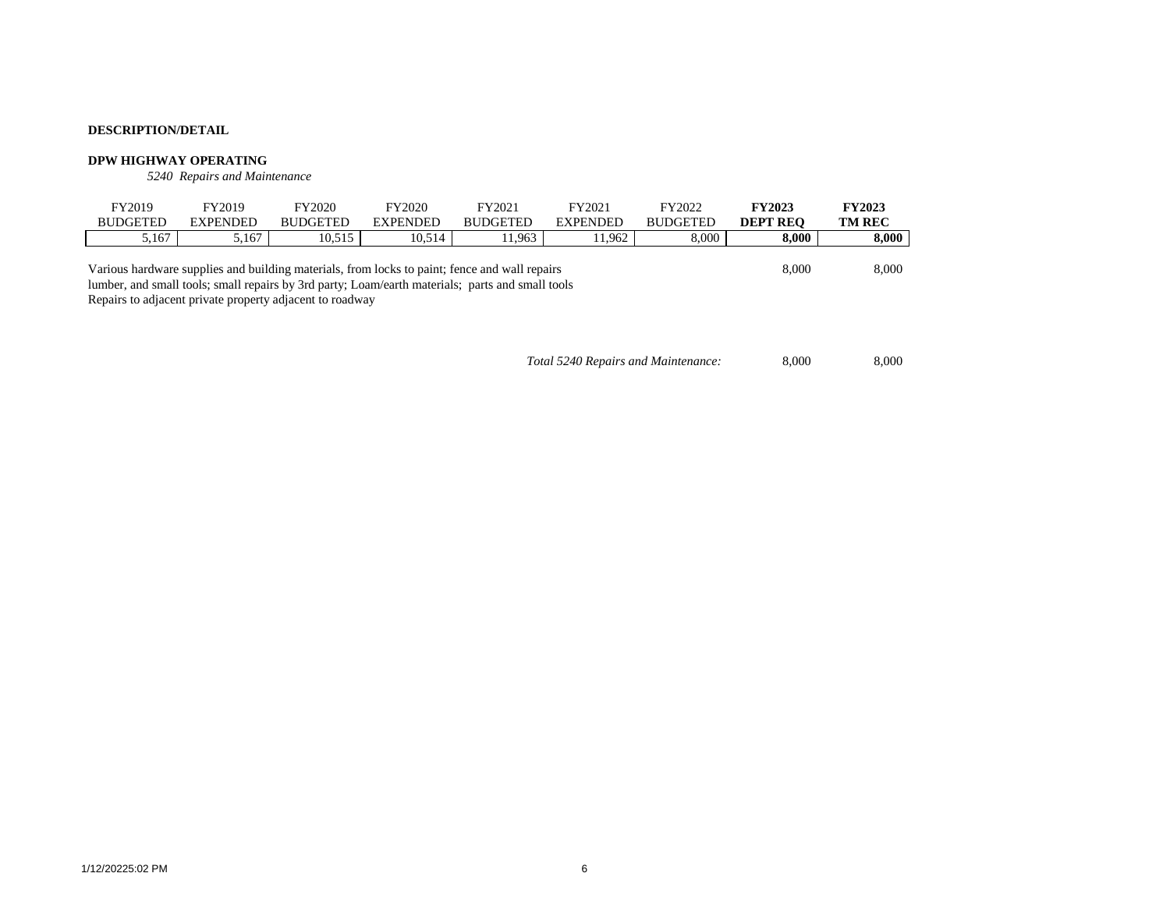### **DPW HIGHWAY OPERATING**

*5240 Repairs and Maintenance*

| FY2019                                                                                                                                                       | FY2019          | FY2020          | FY2020          | FY2021                                                                                        | FY2021          | FY2022          | <b>FY2023</b>   | <b>FY2023</b> |
|--------------------------------------------------------------------------------------------------------------------------------------------------------------|-----------------|-----------------|-----------------|-----------------------------------------------------------------------------------------------|-----------------|-----------------|-----------------|---------------|
| <b>BUDGETED</b>                                                                                                                                              | <b>EXPENDED</b> | <b>BUDGETED</b> | <b>EXPENDED</b> | <b>BUDGETED</b>                                                                               | <b>EXPENDED</b> | <b>BUDGETED</b> | <b>DEPT REO</b> | <b>TM REC</b> |
| 5.167                                                                                                                                                        | 5.167           | 10.515          | 10.514          | 11.963                                                                                        | 11.962          | 8,000           | 8.000           | 8,000         |
| lumber, and small tools; small repairs by 3rd party; Loam/earth materials; parts and small tools<br>Repairs to adjacent private property adjacent to roadway |                 |                 |                 | Various hardware supplies and building materials, from locks to paint; fence and wall repairs |                 |                 | 8,000           | 8,000         |

*Total 5240 Repairs and Maintenance:* 8,000 8,000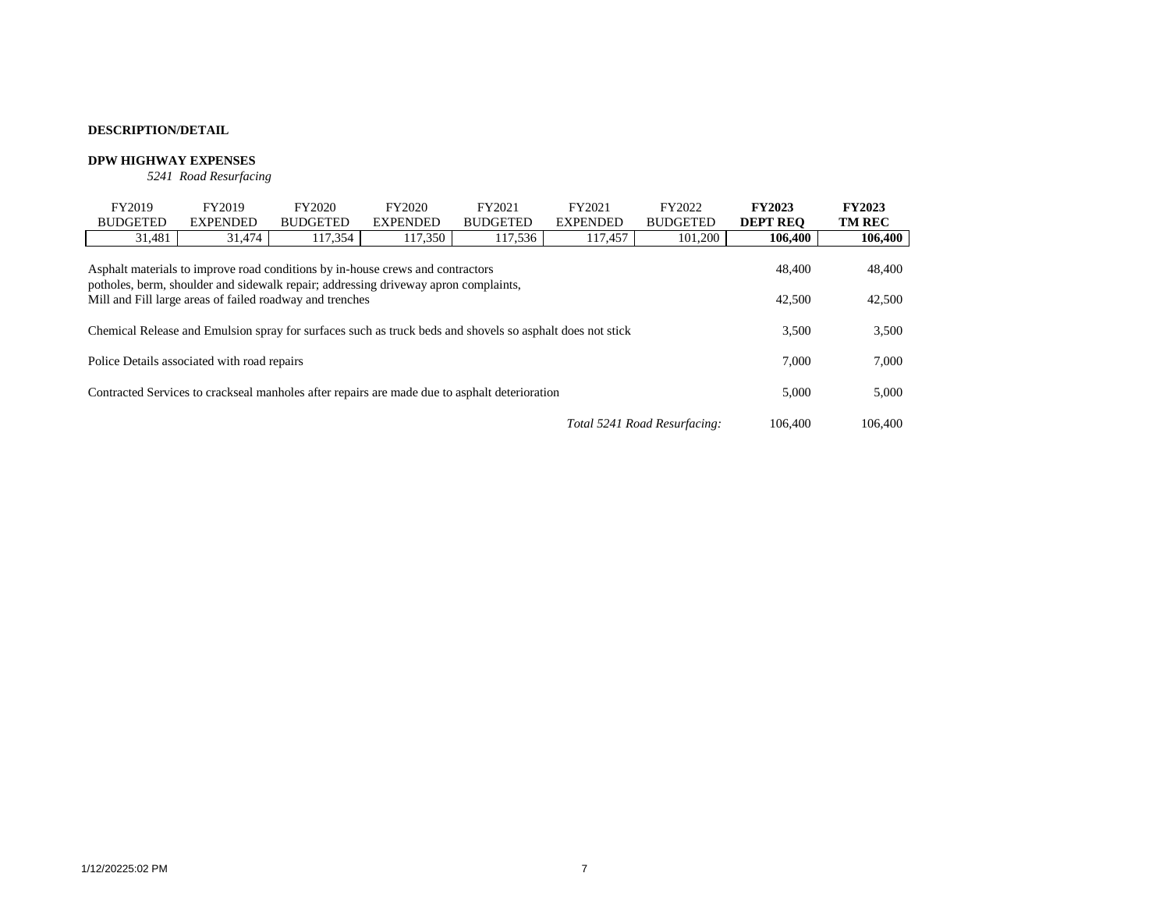# **DPW HIGHWAY EXPENSES**

*5241 Road Resurfacing*

| FY2019                                                                                                    | FY2019                                                                                        | FY2020          | FY2020          | FY2021          | FY2021          | FY2022          | <b>FY2023</b>   | <b>FY2023</b> |
|-----------------------------------------------------------------------------------------------------------|-----------------------------------------------------------------------------------------------|-----------------|-----------------|-----------------|-----------------|-----------------|-----------------|---------------|
| <b>BUDGETED</b>                                                                                           | <b>EXPENDED</b>                                                                               | <b>BUDGETED</b> | <b>EXPENDED</b> | <b>BUDGETED</b> | <b>EXPENDED</b> | <b>BUDGETED</b> | <b>DEPT REO</b> | <b>TM REC</b> |
| 31,481                                                                                                    | 31,474                                                                                        | 117,354         | 117,350         | 117,536         | 117,457         | 101,200         | 106,400         | 106,400       |
| potholes, berm, shoulder and sidewalk repair; addressing driveway apron complaints,                       | Asphalt materials to improve road conditions by in-house crews and contractors                |                 |                 |                 |                 |                 | 48,400          | 48,400        |
| Mill and Fill large areas of failed roadway and trenches                                                  | 42,500                                                                                        | 42,500          |                 |                 |                 |                 |                 |               |
| Chemical Release and Emulsion spray for surfaces such as truck beds and shovels so asphalt does not stick | 3.500                                                                                         | 3,500           |                 |                 |                 |                 |                 |               |
| Police Details associated with road repairs                                                               |                                                                                               |                 |                 |                 |                 |                 | 7.000           | 7,000         |
|                                                                                                           | Contracted Services to crackseal manholes after repairs are made due to asphalt deterioration |                 |                 |                 |                 |                 |                 |               |
| Total 5241 Road Resurfacing:                                                                              |                                                                                               |                 |                 |                 |                 |                 | 106,400         | 106,400       |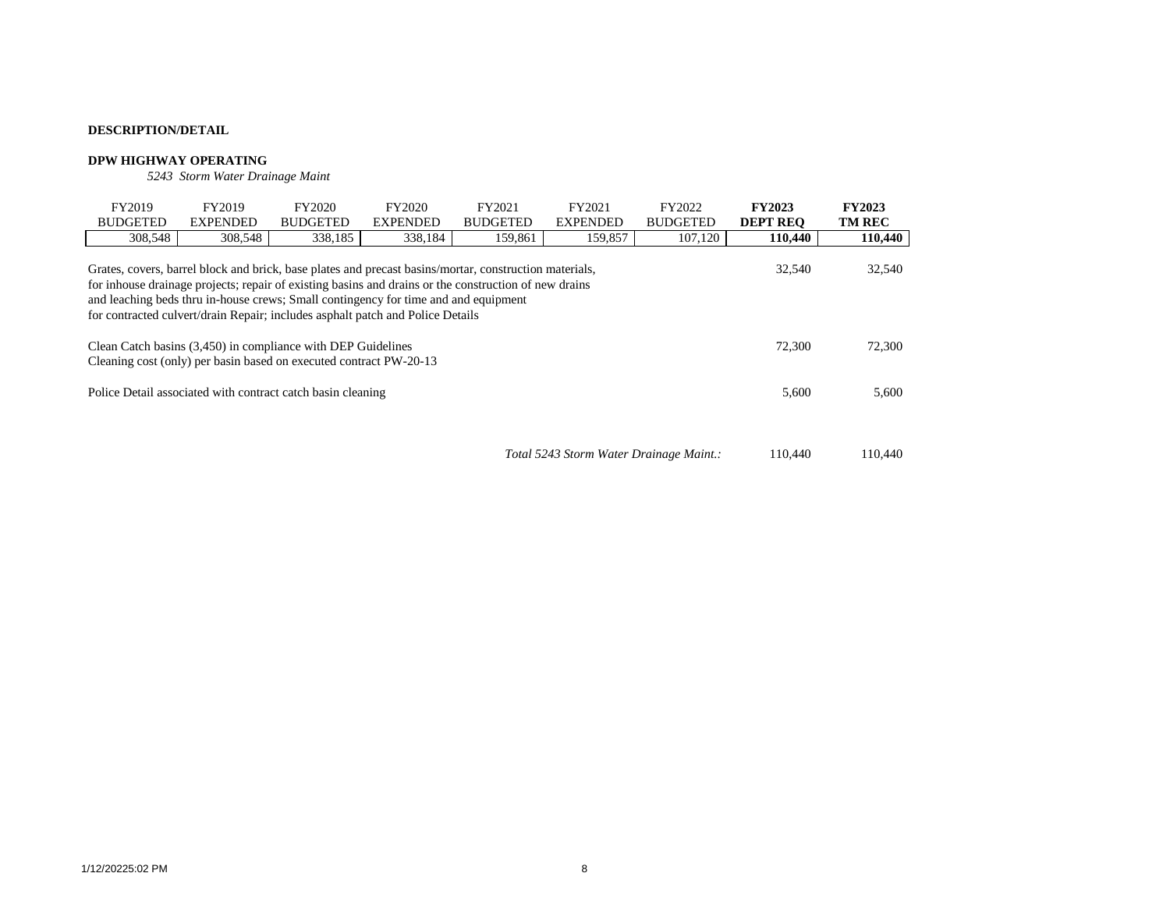### **DPW HIGHWAY OPERATING**

*5243 Storm Water Drainage Maint*

| FY2019                                                                                                                                       | FY2019                                                                                                                                                                                                                                                                                                                                                                                                                 | FY2020          | FY2020          | FY2021          | FY2021                                  | FY2022          | <b>FY2023</b>   | <b>FY2023</b> |  |  |  |  |
|----------------------------------------------------------------------------------------------------------------------------------------------|------------------------------------------------------------------------------------------------------------------------------------------------------------------------------------------------------------------------------------------------------------------------------------------------------------------------------------------------------------------------------------------------------------------------|-----------------|-----------------|-----------------|-----------------------------------------|-----------------|-----------------|---------------|--|--|--|--|
| <b>BUDGETED</b>                                                                                                                              | <b>EXPENDED</b>                                                                                                                                                                                                                                                                                                                                                                                                        | <b>BUDGETED</b> | <b>EXPENDED</b> | <b>BUDGETED</b> | <b>EXPENDED</b>                         | <b>BUDGETED</b> | <b>DEPT REO</b> | <b>TM REC</b> |  |  |  |  |
| 308,548                                                                                                                                      | 308,548                                                                                                                                                                                                                                                                                                                                                                                                                | 338,185         | 338,184         | 159,861         | 159,857                                 | 107,120         | 110,440         | 110,440       |  |  |  |  |
|                                                                                                                                              | 32,540<br>Grates, covers, barrel block and brick, base plates and precast basins/mortar, construction materials,<br>32,540<br>for inhouse drainage projects; repair of existing basins and drains or the construction of new drains<br>and leaching beds thru in-house crews; Small contingency for time and and equipment<br>for contracted culvert/drain Repair; includes asphalt patch and Police Details<br>72,300 |                 |                 |                 |                                         |                 |                 |               |  |  |  |  |
| Clean Catch basins (3,450) in compliance with DEP Guidelines<br>72,300<br>Cleaning cost (only) per basin based on executed contract PW-20-13 |                                                                                                                                                                                                                                                                                                                                                                                                                        |                 |                 |                 |                                         |                 |                 |               |  |  |  |  |
| 5,600<br>Police Detail associated with contract catch basin cleaning                                                                         |                                                                                                                                                                                                                                                                                                                                                                                                                        |                 |                 |                 |                                         |                 |                 |               |  |  |  |  |
|                                                                                                                                              |                                                                                                                                                                                                                                                                                                                                                                                                                        |                 |                 |                 | Total 5243 Storm Water Drainage Maint.: |                 | 110.440         | 110,440       |  |  |  |  |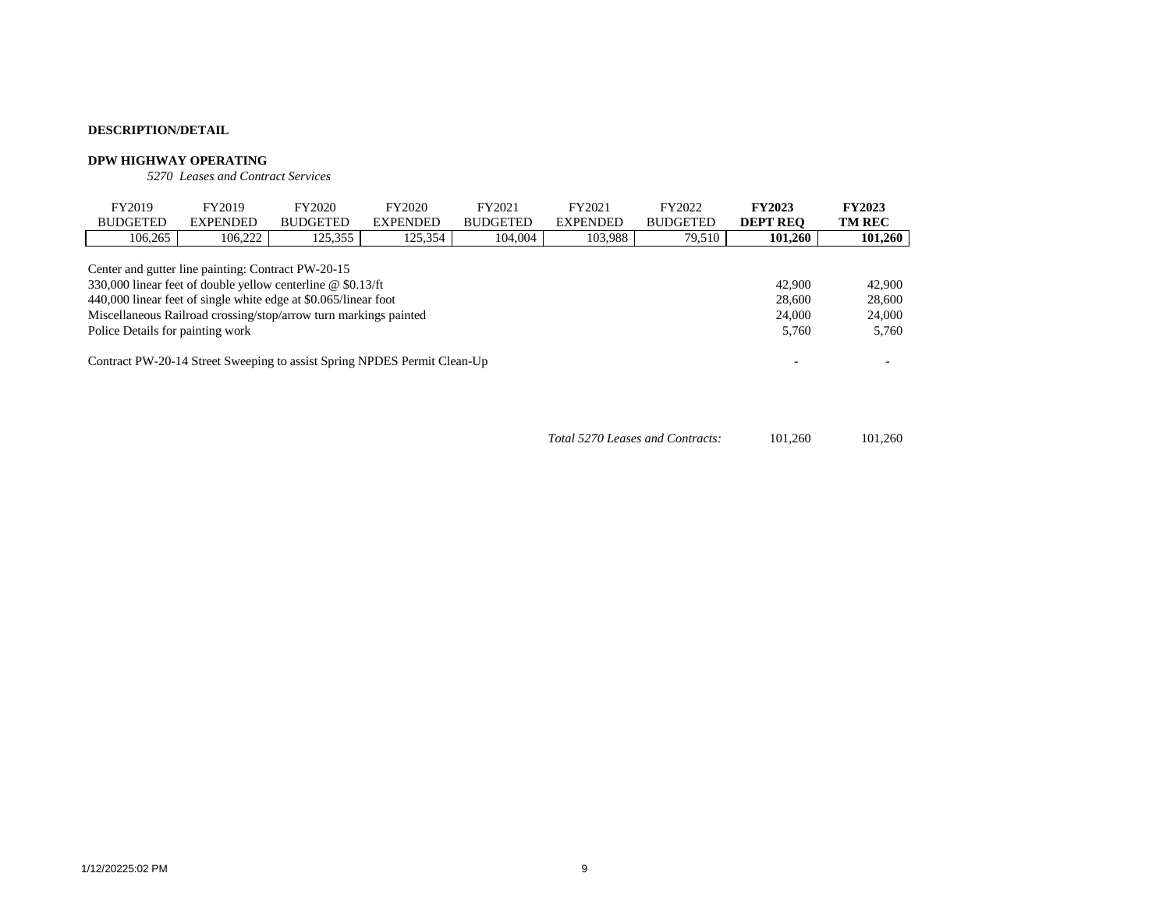#### **DPW HIGHWAY OPERATING**

*5270 Leases and Contract Services*

| FY2019                                                                                                                                                                                                                                                                                       | FY2019          | FY2020          | FY2020          | FY2021          | FY2021          | FY2022          | <b>FY2023</b>                       | <b>FY2023</b>                       |
|----------------------------------------------------------------------------------------------------------------------------------------------------------------------------------------------------------------------------------------------------------------------------------------------|-----------------|-----------------|-----------------|-----------------|-----------------|-----------------|-------------------------------------|-------------------------------------|
| <b>BUDGETED</b>                                                                                                                                                                                                                                                                              | <b>EXPENDED</b> | <b>BUDGETED</b> | <b>EXPENDED</b> | <b>BUDGETED</b> | <b>EXPENDED</b> | <b>BUDGETED</b> | <b>DEPT REO</b>                     | <b>TM REC</b>                       |
| 106,265                                                                                                                                                                                                                                                                                      | 106.222         | 125,355         | 125,354         | 104,004         | 103,988         | 79,510          | 101,260                             | 101,260                             |
| Center and gutter line painting: Contract PW-20-15<br>330,000 linear feet of double yellow centerline @ \$0.13/ft<br>440,000 linear feet of single white edge at \$0.065/linear foot<br>Miscellaneous Railroad crossing/stop/arrow turn markings painted<br>Police Details for painting work |                 |                 |                 |                 |                 |                 | 42,900<br>28,600<br>24,000<br>5.760 | 42,900<br>28,600<br>24,000<br>5,760 |
| Contract PW-20-14 Street Sweeping to assist Spring NPDES Permit Clean-Up                                                                                                                                                                                                                     |                 |                 |                 |                 |                 |                 |                                     |                                     |

| Total 5270 Leases and Contracts: | 101.260 | 101.260 |
|----------------------------------|---------|---------|
|----------------------------------|---------|---------|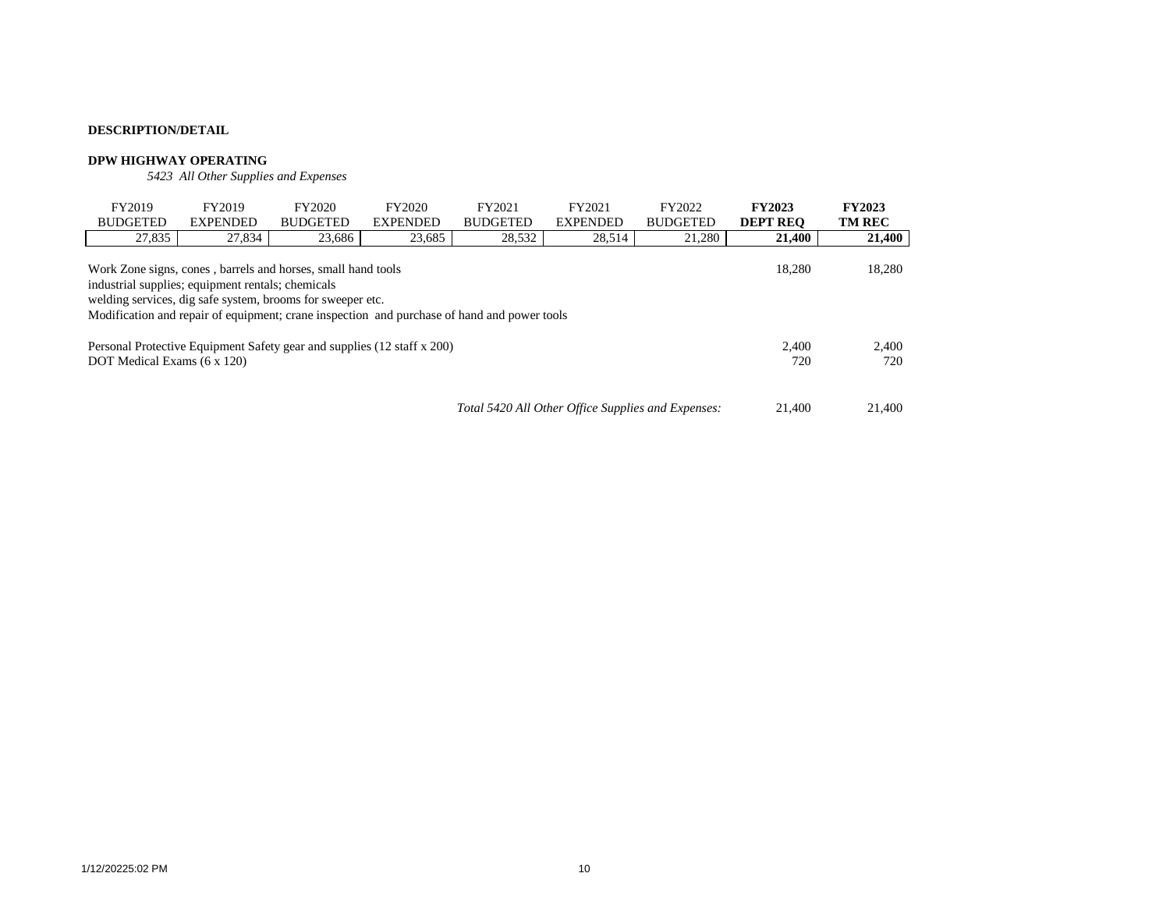#### **DPW HIGHWAY OPERATING**

*5423 All Other Supplies and Expenses*

| FY2019                                                                                                                                                                                                                                                                                             | FY2019          | FY2020          | FY2020          | FY2021          | FY2021          | FY2022          | <b>FY2023</b>   | <b>FY2023</b> |  |  |  |
|----------------------------------------------------------------------------------------------------------------------------------------------------------------------------------------------------------------------------------------------------------------------------------------------------|-----------------|-----------------|-----------------|-----------------|-----------------|-----------------|-----------------|---------------|--|--|--|
| <b>BUDGETED</b>                                                                                                                                                                                                                                                                                    | <b>EXPENDED</b> | <b>BUDGETED</b> | <b>EXPENDED</b> | <b>BUDGETED</b> | <b>EXPENDED</b> | <b>BUDGETED</b> | <b>DEPT REO</b> | <b>TM REC</b> |  |  |  |
| 27,835                                                                                                                                                                                                                                                                                             | 27,834          | 23,686          | 23,685          | 28,532          | 28,514          | 21,280          | 21.400          | 21,400        |  |  |  |
| 18,280<br>18.280<br>Work Zone signs, cones, barrels and horses, small hand tools<br>industrial supplies; equipment rentals; chemicals<br>welding services, dig safe system, brooms for sweeper etc.<br>Modification and repair of equipment; crane inspection and purchase of hand and power tools |                 |                 |                 |                 |                 |                 |                 |               |  |  |  |
| Personal Protective Equipment Safety gear and supplies (12 staff x 200)                                                                                                                                                                                                                            |                 |                 |                 |                 |                 |                 | 2.400           | 2,400         |  |  |  |
| DOT Medical Exams (6 x 120)                                                                                                                                                                                                                                                                        |                 |                 |                 |                 |                 |                 |                 | 720           |  |  |  |
| Total 5420 All Other Office Supplies and Expenses:                                                                                                                                                                                                                                                 |                 |                 |                 |                 |                 |                 |                 | 21,400        |  |  |  |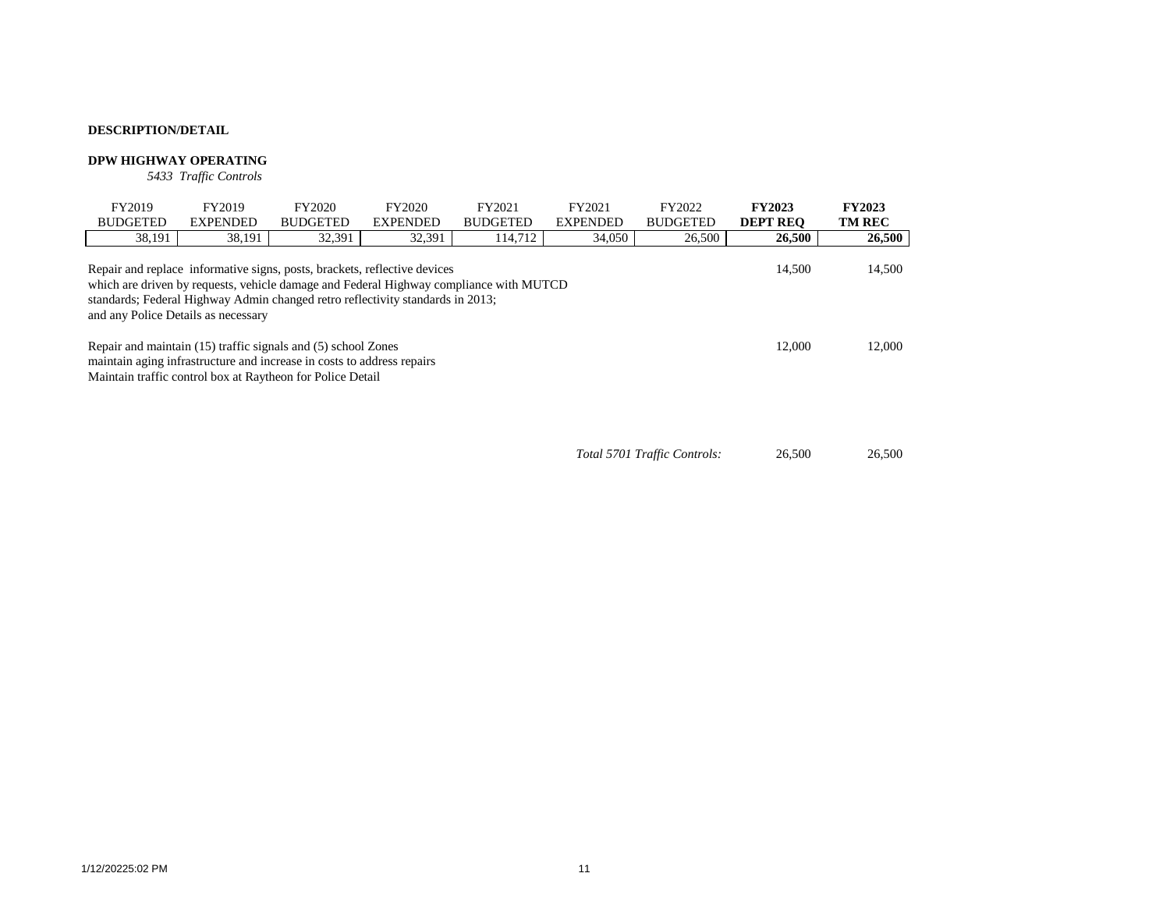# **DPW HIGHWAY OPERATING**

*5433 Traffic Controls*

| FY2019                                                                                                                                                                                                                                                                                                 | FY2019                                                     | FY2020          | FY2020          | FY2021          | FY2021          | FY2022          | <b>FY2023</b>   | <b>FY2023</b> |  |  |
|--------------------------------------------------------------------------------------------------------------------------------------------------------------------------------------------------------------------------------------------------------------------------------------------------------|------------------------------------------------------------|-----------------|-----------------|-----------------|-----------------|-----------------|-----------------|---------------|--|--|
| <b>BUDGETED</b>                                                                                                                                                                                                                                                                                        | <b>EXPENDED</b>                                            | <b>BUDGETED</b> | <b>EXPENDED</b> | <b>BUDGETED</b> | <b>EXPENDED</b> | <b>BUDGETED</b> | <b>DEPT REO</b> | <b>TM REC</b> |  |  |
| 38,191                                                                                                                                                                                                                                                                                                 | 38,191                                                     | 32,391          | 32,391          | 114,712         | 34,050          | 26,500          | 26,500          | 26,500        |  |  |
| Repair and replace informative signs, posts, brackets, reflective devices<br>14,500<br>which are driven by requests, vehicle damage and Federal Highway compliance with MUTCD<br>standards; Federal Highway Admin changed retro reflectivity standards in 2013;<br>and any Police Details as necessary |                                                            |                 |                 |                 |                 |                 |                 |               |  |  |
| Repair and maintain (15) traffic signals and (5) school Zones<br>maintain aging infrastructure and increase in costs to address repairs                                                                                                                                                                | 12.000                                                     | 12,000          |                 |                 |                 |                 |                 |               |  |  |
|                                                                                                                                                                                                                                                                                                        | Maintain traffic control box at Raytheon for Police Detail |                 |                 |                 |                 |                 |                 |               |  |  |

*Total 5701 Traffic Controls:* 26,500 26,500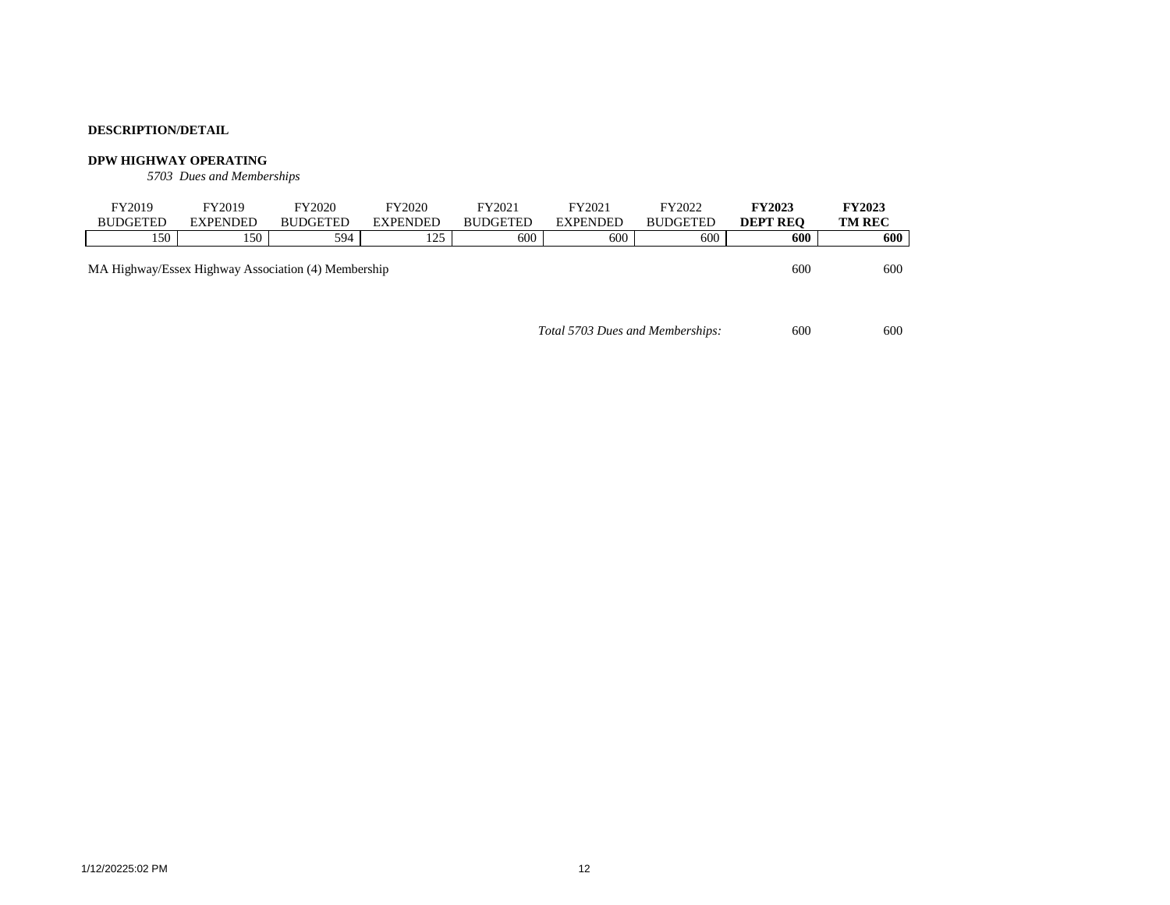### **DPW HIGHWAY OPERATING**

*5703 Dues and Memberships*

| FY2019                                              | FY2019          | FY2020          | FY2020          | FY2021          | FY2021          | FY2022          | <b>FY2023</b>   | <b>FY2023</b> |
|-----------------------------------------------------|-----------------|-----------------|-----------------|-----------------|-----------------|-----------------|-----------------|---------------|
| <b>BUDGETED</b>                                     | <b>EXPENDED</b> | <b>BUDGETED</b> | <b>EXPENDED</b> | <b>BUDGETED</b> | <b>EXPENDED</b> | <b>BUDGETED</b> | <b>DEPT REO</b> | <b>TM REC</b> |
| 150                                                 | 150             | 594             | 125             | 600             | 600             | 600             | 600             | 600           |
| MA Highway/Essex Highway Association (4) Membership |                 |                 |                 |                 |                 |                 | 600             | 600           |

*Total 5703 Dues and Memberships:* 600 600 600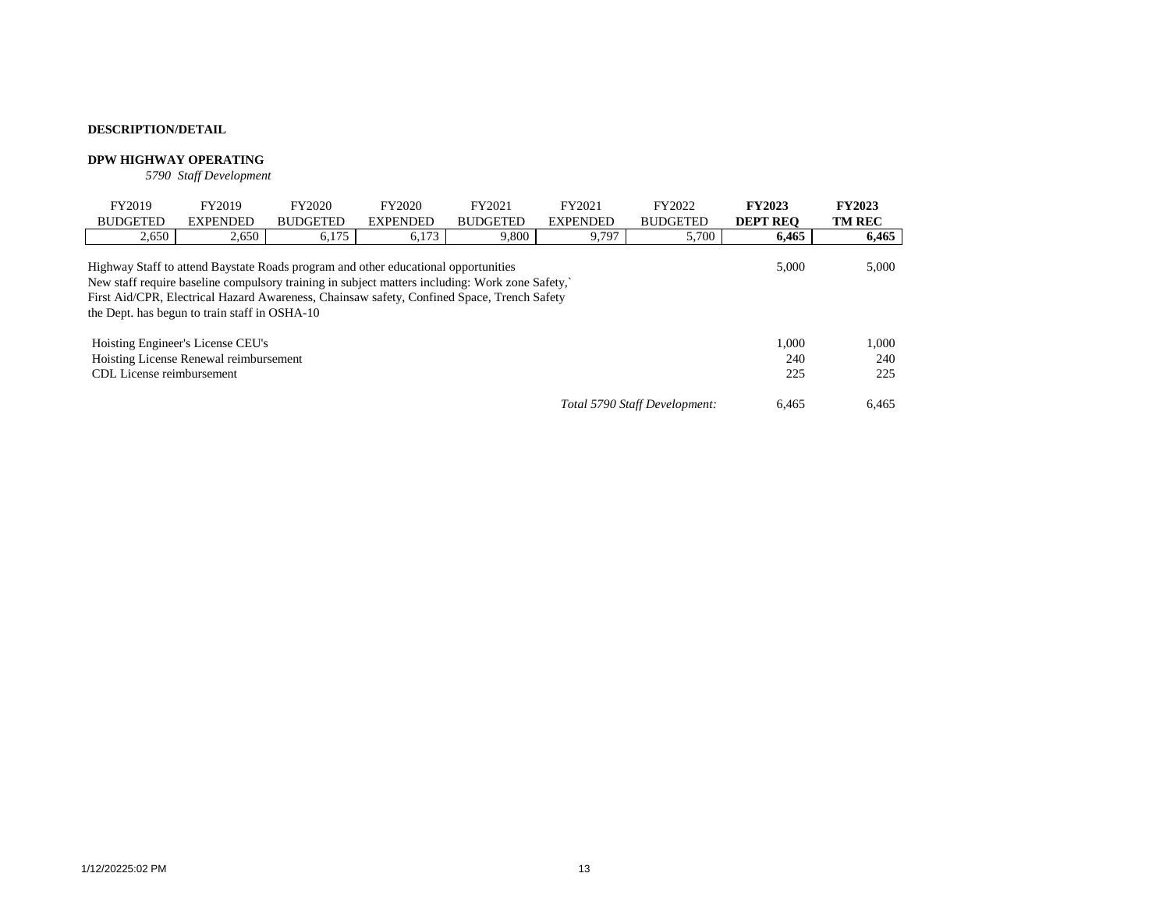# **DPW HIGHWAY OPERATING**

*5790 Staff Development*

| FY2019<br><b>BUDGETED</b>                                                                                                                                                                                                                                                                                                                    | FY2019<br><b>EXPENDED</b>              | FY2020<br><b>BUDGETED</b> | FY2020<br><b>EXPENDED</b> | FY2021<br><b>BUDGETED</b> | FY2021<br><b>EXPENDED</b> | FY2022<br><b>BUDGETED</b> | <b>FY2023</b><br><b>DEPT REO</b> | <b>FY2023</b><br><b>TM REC</b> |  |  |
|----------------------------------------------------------------------------------------------------------------------------------------------------------------------------------------------------------------------------------------------------------------------------------------------------------------------------------------------|----------------------------------------|---------------------------|---------------------------|---------------------------|---------------------------|---------------------------|----------------------------------|--------------------------------|--|--|
| 2,650                                                                                                                                                                                                                                                                                                                                        | 2,650                                  | 6.175                     | 6,173                     | 9.800                     | 9,797                     | 5,700                     | 6.465                            | 6,465                          |  |  |
| Highway Staff to attend Baystate Roads program and other educational opportunities<br>5.000<br>New staff require baseline compulsory training in subject matters including: Work zone Safety,<br>First Aid/CPR, Electrical Hazard Awareness, Chainsaw safety, Confined Space, Trench Safety<br>the Dept. has begun to train staff in OSHA-10 |                                        |                           |                           |                           |                           |                           |                                  |                                |  |  |
|                                                                                                                                                                                                                                                                                                                                              | Hoisting Engineer's License CEU's      |                           |                           |                           |                           |                           | 1.000                            | 1,000                          |  |  |
|                                                                                                                                                                                                                                                                                                                                              | Hoisting License Renewal reimbursement |                           |                           |                           |                           |                           | 240                              | 240                            |  |  |
| CDL License reimbursement                                                                                                                                                                                                                                                                                                                    |                                        |                           |                           |                           |                           |                           |                                  | 225                            |  |  |
|                                                                                                                                                                                                                                                                                                                                              | 6.465                                  | 6,465                     |                           |                           |                           |                           |                                  |                                |  |  |